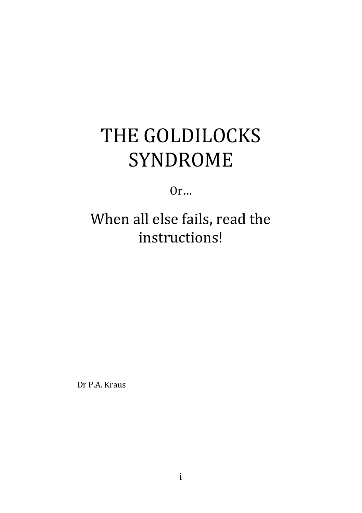# THE GOLDILOCKS SYNDROME

Or…

# When all else fails, read the instructions!

Dr P.A. Kraus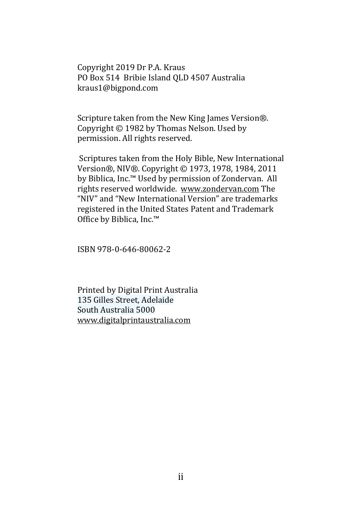Copyright 2019 Dr P.A. Kraus PO Box 514 Bribie Island QLD 4507 Australia kraus1@bigpond.com

Scripture taken from the New King James Version®. Copyright  $\odot$  1982 by Thomas Nelson. Used by permission. All rights reserved.

Scriptures taken from the Holy Bible, New International Version®, NIV®, Copyright © 1973, 1978, 1984, 2011 by Biblica, Inc.™ Used by permission of Zondervan. All rights reserved worldwide. www.zondervan.com The "NIV" and "New International Version" are trademarks registered in the United States Patent and Trademark Office by Biblica, Inc.<sup>™</sup>

ISBN 978-0-646-80062-2 

Printed by Digital Print Australia 135 Gilles Street, Adelaide South Australia 5000 www.digitalprintaustralia.com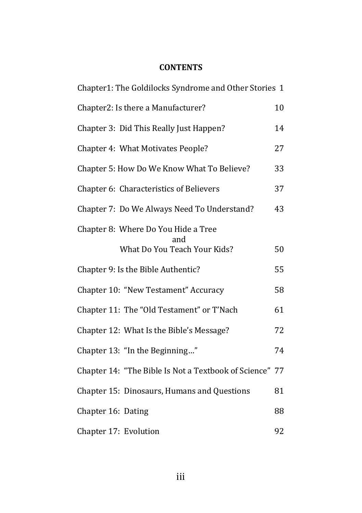#### **CONTENTS**

| Chapter1: The Goldilocks Syndrome and Other Stories 1   |    |  |
|---------------------------------------------------------|----|--|
| Chapter2: Is there a Manufacturer?                      | 10 |  |
| Chapter 3: Did This Really Just Happen?                 | 14 |  |
| Chapter 4: What Motivates People?                       | 27 |  |
| Chapter 5: How Do We Know What To Believe?              | 33 |  |
| Chapter 6: Characteristics of Believers                 | 37 |  |
| Chapter 7: Do We Always Need To Understand?             | 43 |  |
| Chapter 8: Where Do You Hide a Tree<br>and              |    |  |
| What Do You Teach Your Kids?                            | 50 |  |
| Chapter 9: Is the Bible Authentic?                      | 55 |  |
| Chapter 10: "New Testament" Accuracy                    | 58 |  |
| Chapter 11: The "Old Testament" or T'Nach               | 61 |  |
| Chapter 12: What Is the Bible's Message?                | 72 |  |
| Chapter 13: "In the Beginning"                          | 74 |  |
| Chapter 14: "The Bible Is Not a Textbook of Science" 77 |    |  |
| Chapter 15: Dinosaurs, Humans and Questions             | 81 |  |
| Chapter 16: Dating                                      | 88 |  |
| Chapter 17: Evolution                                   | 92 |  |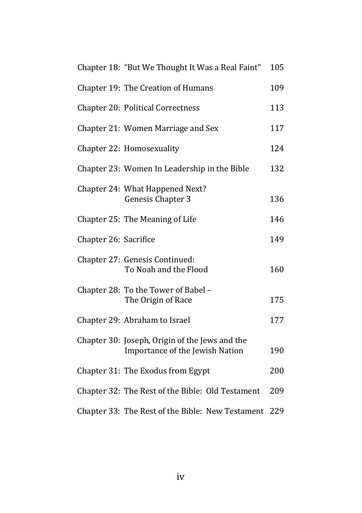|                       | Chapter 18: "But We Thought It Was a Real Faint"                                  | 105 |
|-----------------------|-----------------------------------------------------------------------------------|-----|
|                       | Chapter 19: The Creation of Humans                                                | 109 |
|                       | <b>Chapter 20: Political Correctness</b>                                          | 113 |
|                       | Chapter 21: Women Marriage and Sex                                                | 117 |
|                       | Chapter 22: Homosexuality                                                         | 124 |
|                       | Chapter 23: Women In Leadership in the Bible                                      | 132 |
|                       | Chapter 24: What Happened Next?<br>Genesis Chapter 3                              | 136 |
|                       | Chapter 25: The Meaning of Life                                                   | 146 |
| Chapter 26: Sacrifice |                                                                                   | 149 |
|                       | Chapter 27: Genesis Continued:<br>To Noah and the Flood                           | 160 |
|                       | Chapter 28: To the Tower of Babel -<br>The Origin of Race                         | 175 |
|                       | Chapter 29: Abraham to Israel                                                     | 177 |
|                       | Chapter 30: Joseph, Origin of the Jews and the<br>Importance of the Jewish Nation | 190 |
|                       | Chapter 31: The Exodus from Egypt                                                 | 200 |
|                       | Chapter 32: The Rest of the Bible: Old Testament                                  | 209 |
|                       | Chapter 33: The Rest of the Bible: New Testament                                  | 229 |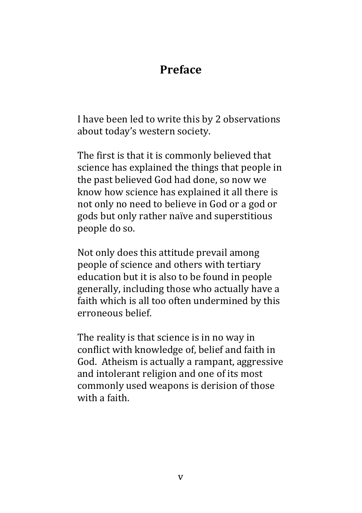# **Preface**

I have been led to write this by 2 observations about today's western society.

The first is that it is commonly believed that science has explained the things that people in the past believed God had done, so now we know how science has explained it all there is not only no need to believe in God or a god or gods but only rather naïve and superstitious people do so.

Not only does this attitude prevail among people of science and others with tertiary education but it is also to be found in people generally, including those who actually have a faith which is all too often undermined by this erroneous belief. 

The reality is that science is in no way in conflict with knowledge of, belief and faith in God. Atheism is actually a rampant, aggressive and intolerant religion and one of its most commonly used weapons is derision of those with a faith.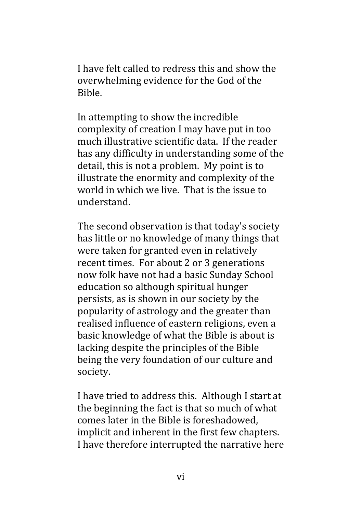I have felt called to redress this and show the overwhelming evidence for the God of the Bible.

In attempting to show the incredible complexity of creation I may have put in too much illustrative scientific data. If the reader has any difficulty in understanding some of the detail, this is not a problem. My point is to illustrate the enormity and complexity of the world in which we live. That is the issue to understand.

The second observation is that today's society has little or no knowledge of many things that were taken for granted even in relatively recent times. For about 2 or 3 generations now folk have not had a basic Sunday School education so although spiritual hunger persists, as is shown in our society by the popularity of astrology and the greater than realised influence of eastern religions, even a basic knowledge of what the Bible is about is lacking despite the principles of the Bible being the very foundation of our culture and society. 

I have tried to address this. Although I start at the beginning the fact is that so much of what comes later in the Bible is foreshadowed. implicit and inherent in the first few chapters. I have therefore interrupted the narrative here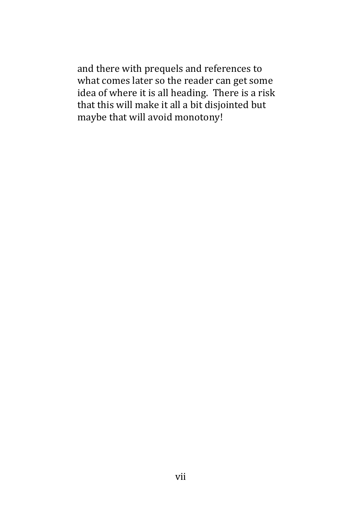and there with prequels and references to what comes later so the reader can get some idea of where it is all heading. There is a risk that this will make it all a bit disjointed but maybe that will avoid monotony!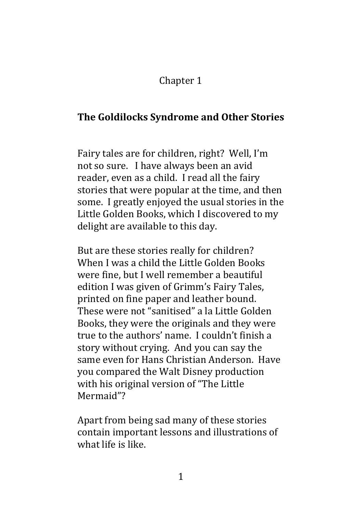## Chapter 1

### **The Goldilocks Syndrome and Other Stories**

Fairy tales are for children, right? Well, I'm not so sure. I have always been an avid reader, even as a child. I read all the fairy stories that were popular at the time, and then some. I greatly enjoyed the usual stories in the Little Golden Books, which I discovered to my delight are available to this day.

But are these stories really for children? When I was a child the Little Golden Books were fine, but I well remember a beautiful edition I was given of Grimm's Fairy Tales, printed on fine paper and leather bound. These were not "sanitised" a la Little Golden Books, they were the originals and they were true to the authors' name. I couldn't finish a story without crying. And you can say the same even for Hans Christian Anderson. Have you compared the Walt Disney production with his original version of "The Little Mermaid"? 

Apart from being sad many of these stories contain important lessons and illustrations of what life is like.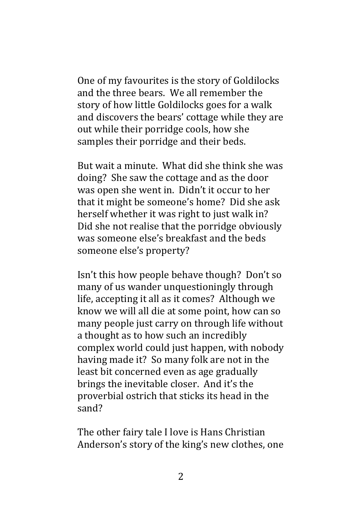One of my favourites is the story of Goldilocks and the three bears. We all remember the story of how little Goldilocks goes for a walk and discovers the bears' cottage while they are out while their porridge cools, how she samples their porridge and their beds.

But wait a minute. What did she think she was doing? She saw the cottage and as the door was open she went in. Didn't it occur to her that it might be someone's home? Did she ask herself whether it was right to just walk in? Did she not realise that the porridge obviously was someone else's breakfast and the beds someone else's property?

Isn't this how people behave though? Don't so many of us wander unquestioningly through life, accepting it all as it comes? Although we know we will all die at some point, how can so many people just carry on through life without a thought as to how such an incredibly complex world could just happen, with nobody having made it? So many folk are not in the least bit concerned even as age gradually brings the inevitable closer. And it's the proverbial ostrich that sticks its head in the sand?

The other fairy tale I love is Hans Christian Anderson's story of the king's new clothes, one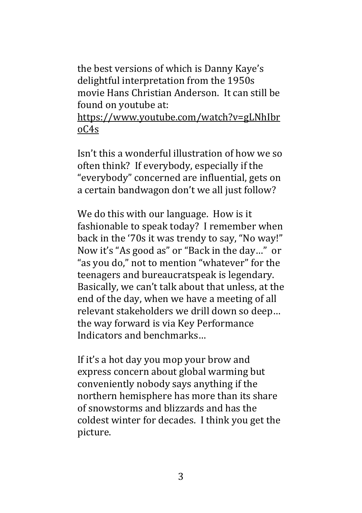the best versions of which is Danny Kaye's delightful interpretation from the 1950s movie Hans Christian Anderson. It can still be found on voutube at:

https://www.youtube.com/watch?v=gLNhIbr oC4s

 $\text{Isn't this a wonderful illustration of how we so}$ often think? If everybody, especially if the "everybody" concerned are influential, gets on a certain bandwagon don't we all just follow?

We do this with our language. How is it fashionable to speak today? I remember when back in the '70s it was trendy to say, "No way!" Now it's "As good as" or "Back in the day..." or "as you do," not to mention "whatever" for the teenagers and bureaucratspeak is legendary. Basically, we can't talk about that unless, at the end of the day, when we have a meeting of all relevant stakeholders we drill down so deep... the way forward is via Key Performance Indicators and benchmarks...

If it's a hot day you mop your brow and express concern about global warming but conveniently nobody says anything if the northern hemisphere has more than its share of snowstorms and blizzards and has the coldest winter for decades. I think you get the picture.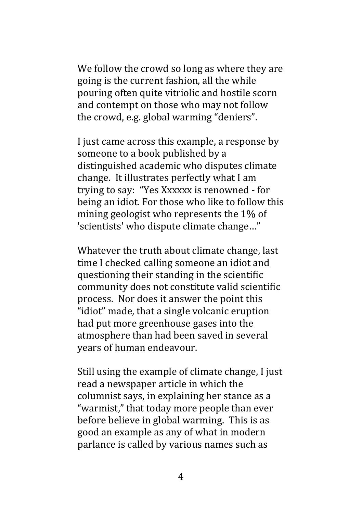We follow the crowd so long as where they are going is the current fashion, all the while pouring often quite vitriolic and hostile scorn and contempt on those who may not follow the crowd, e.g. global warming "deniers".

I just came across this example, a response by someone to a book published by a distinguished academic who disputes climate change. It illustrates perfectly what I am trying to say: "Yes Xxxxxx is renowned - for being an idiot. For those who like to follow this mining geologist who represents the 1% of 'scientists' who dispute climate change..."

Whatever the truth about climate change, last time I checked calling someone an idiot and questioning their standing in the scientific community does not constitute valid scientific process. Nor does it answer the point this "idiot" made, that a single volcanic eruption had put more greenhouse gases into the atmosphere than had been saved in several years of human endeavour.

Still using the example of climate change, I just read a newspaper article in which the columnist says, in explaining her stance as a "warmist," that today more people than ever before believe in global warming. This is as good an example as any of what in modern parlance is called by various names such as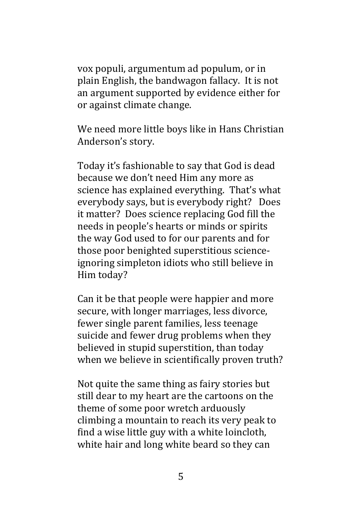vox populi, argumentum ad populum, or in plain English, the bandwagon fallacy. It is not an argument supported by evidence either for or against climate change.

We need more little boys like in Hans Christian Anderson's story.

Today it's fashionable to say that God is dead because we don't need Him any more as science has explained everything. That's what everybody says, but is everybody right? Does it matter? Does science replacing God fill the needs in people's hearts or minds or spirits the way God used to for our parents and for those poor benighted superstitious scienceignoring simpleton idiots who still believe in Him today?

Can it be that people were happier and more secure, with longer marriages, less divorce, fewer single parent families, less teenage suicide and fewer drug problems when they believed in stupid superstition, than today when we believe in scientifically proven truth?

Not quite the same thing as fairy stories but still dear to my heart are the cartoons on the theme of some poor wretch arduously climbing a mountain to reach its very peak to find a wise little guy with a white loincloth, white hair and long white beard so they can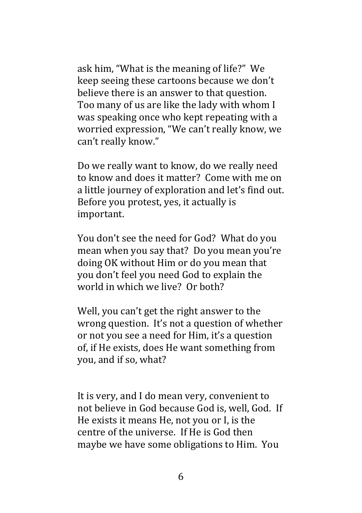ask him, "What is the meaning of life?" We keep seeing these cartoons because we don't believe there is an answer to that question. Too many of us are like the lady with whom I was speaking once who kept repeating with a worried expression, "We can't really know, we can't really know."

Do we really want to know, do we really need to know and does it matter? Come with me on a little journey of exploration and let's find out. Before you protest, yes, it actually is important. 

You don't see the need for God? What do you mean when you say that? Do you mean you're doing OK without Him or do you mean that you don't feel you need God to explain the world in which we live? Or both?

Well, you can't get the right answer to the wrong question. It's not a question of whether or not you see a need for Him, it's a question of, if He exists, does He want something from you, and if so, what?

It is very, and I do mean very, convenient to not believe in God because God is, well, God. If He exists it means He, not you or I, is the centre of the universe. If He is God then maybe we have some obligations to Him. You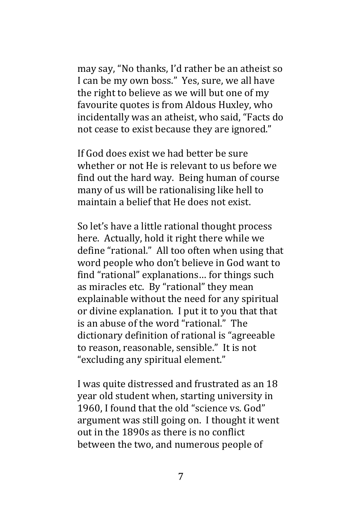may say, "No thanks, I'd rather be an atheist so I can be my own boss." Yes, sure, we all have the right to believe as we will but one of my favourite quotes is from Aldous Huxley, who incidentally was an atheist, who said, "Facts do not cease to exist because they are ignored."

If God does exist we had better be sure whether or not He is relevant to us before we find out the hard way. Being human of course many of us will be rationalising like hell to maintain a belief that He does not exist.

So let's have a little rational thought process here. Actually, hold it right there while we define "rational." All too often when using that word people who don't believe in God want to find "rational" explanations... for things such as miracles etc. By "rational" they mean explainable without the need for any spiritual or divine explanation. I put it to you that that is an abuse of the word "rational." The dictionary definition of rational is "agreeable to reason, reasonable, sensible." It is not "excluding any spiritual element."

I was quite distressed and frustrated as an 18 year old student when, starting university in 1960. I found that the old "science vs. God" argument was still going on. I thought it went out in the 1890s as there is no conflict between the two, and numerous people of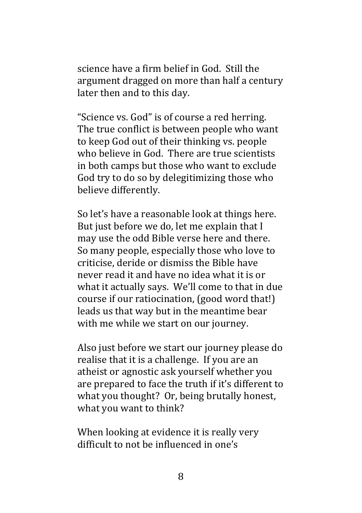science have a firm belief in God. Still the argument dragged on more than half a century later then and to this day.

"Science vs. God" is of course a red herring. The true conflict is between people who want to keep God out of their thinking vs. people who believe in God. There are true scientists in both camps but those who want to exclude God try to do so by delegitimizing those who believe differently.

So let's have a reasonable look at things here. But just before we do, let me explain that I may use the odd Bible verse here and there. So many people, especially those who love to criticise, deride or dismiss the Bible have never read it and have no idea what it is or what it actually says. We'll come to that in due course if our ratiocination, (good word that!) leads us that way but in the meantime bear with me while we start on our journey.

Also just before we start our journey please do realise that it is a challenge. If you are an atheist or agnostic ask yourself whether you are prepared to face the truth if it's different to what you thought? Or, being brutally honest, what you want to think?

When looking at evidence it is really very difficult to not be influenced in one's